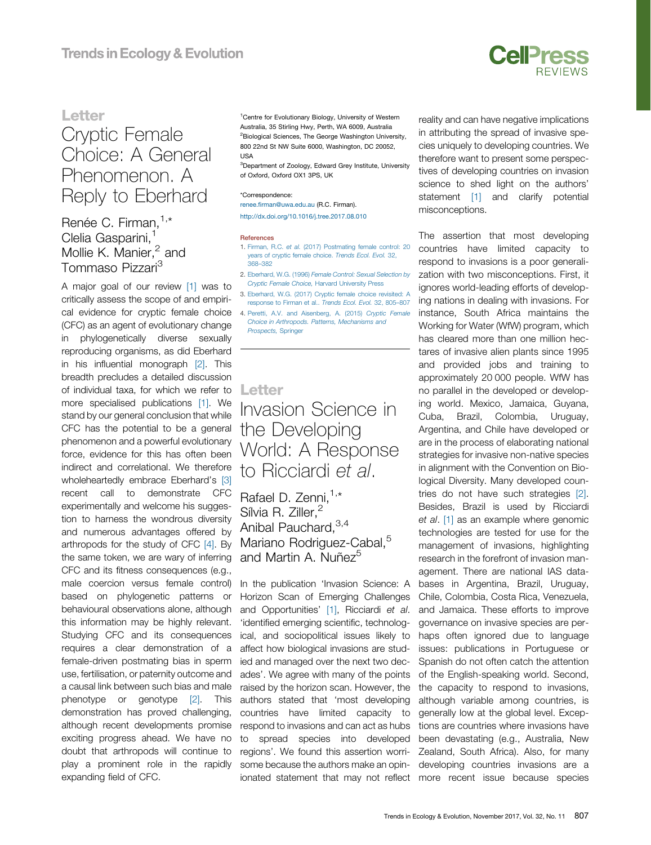## **Letter**

# Cryptic Female Choice: A General Phenomenon. A Reply to Eberhard

# Renée C. Firman, [1,\\*](#page--1-0) Clelia Gasparini, Mollie K. Manier, $<sup>2</sup>$  [and](#page--1-0)</sup> Tommaso Pizzari<sup>3</sup>

A major goal of our review [1] was to critically assess the scope of and empirical evidence for cryptic female choice (CFC) as an agent of evolutionary change in phylogenetically diverse sexually reproducing organisms, as did Eberhard in his influential monograph [2]. This breadth precludes a detailed discussion of individual taxa, for which we refer to more specialised publications [1]. We stand by our general conclusion that while CFC has the potential to be a general phenomenon and a powerful evolutionary force, evidence for this has often been indirect and correlational. We therefore wholeheartedly embrace Eberhard's [3] recent call to demonstrate CFC experimentally and welcome his suggestion to harness the wondrous diversity and numerous advantages offered by arthropods for the study of CFC [4]. By the same token, we are wary of inferring CFC and its fitness consequences (e.g., male coercion versus female control) based on phylogenetic patterns or behavioural observations alone, although this information may be highly relevant. Studying CFC and its consequences requires a clear demonstration of a female-driven postmating bias in sperm use, fertilisation, or paternity outcome and a causal link between such bias and male phenotype or genotype [2]. This demonstration has proved challenging, although recent developments promise exciting progress ahead. We have no doubt that arthropods will continue to play a prominent role in the rapidly expanding field of CFC.

<sup>1</sup> Centre for Evolutionary Biology, University of Western Australia, 35 Stirling Hwy, Perth, WA 6009, Australia <sup>2</sup> Biological Sciences, The George Washington University, 800 22nd St NW Suite 6000, Washington, DC 20052, USA

<sup>3</sup>Department of Zoology, Edward Grey Institute, University of Oxford, Oxford OX1 3PS, UK

#### \*Correspondence:

renee.fi[rman@uwa.edu.au](mailto:renee.firman@uwa.edu.au) (R.C. Firman). <http://dx.doi.org/10.1016/j.tree.2017.08.010>

#### References

- 1. Firman, R.C. et al. [\(2017\) Postmating female control: 20](http://refhub.elsevier.com/S0169-5347(17)30214-8/sbref0005) [years of cryptic female choice.](http://refhub.elsevier.com/S0169-5347(17)30214-8/sbref0005) Trends Ecol. Evol. 32, 368–[382](http://refhub.elsevier.com/S0169-5347(17)30214-8/sbref0005)
- 2. Eberhard, W.G. (1996) [Female Control: Sexual Selection by](http://refhub.elsevier.com/S0169-5347(17)30214-8/sbref0010) Cryptic Female Choice, [Harvard University Press](http://refhub.elsevier.com/S0169-5347(17)30214-8/sbref0010)
- 3. [Eberhard, W.G. \(2017\) Cryptic female choice revisited: A](http://refhub.elsevier.com/S0169-5347(17)30214-8/sbref0015) [response to Firman et al..](http://refhub.elsevier.com/S0169-5347(17)30214-8/sbref0015) Trends Ecol. Evol. 32, 805–807
- 4. [Peretti, A.V. and Aisenberg, A. \(2015\)](http://refhub.elsevier.com/S0169-5347(17)30214-8/sbref0020) Cryptic Female [Choice in Arthropods. Patterns, Mechanisms and](http://refhub.elsevier.com/S0169-5347(17)30214-8/sbref0020) [Prospects,](http://refhub.elsevier.com/S0169-5347(17)30214-8/sbref0020) Springer

### **Letter**

Invasion Science in the Developing World: A Response to Ricciardi et al.

Rafael D. Zenni, 1,\* Sílvia R. Ziller,<sup>[2](#page--1-0)</sup> Anibal Pauchard, 3,4 Mariano Rodriguez-Cabal,<sup>[5](#page-1-0)</sup> and Martin A. Nuñez<sup>5</sup>

In the publication 'Invasion Science: A Horizon Scan of Emerging Challenges and Opportunities' [\[1\]](#page-1-0), Ricciardi et al. 'identified emerging scientific, technological, and sociopolitical issues likely to affect how biological invasions are studied and managed over the next two decades'. We agree with many of the points raised by the horizon scan. However, the authors stated that 'most developing countries have limited capacity to respond to invasions and can act as hubs to spread species into developed regions'. We found this assertion worrisome because the authors make an opinionated statement that may not reflect more recent issue because species

reality and can have negative implications in attributing the spread of invasive species uniquely to developing countries. We therefore want to present some perspectives of developing countries on invasion science to shed light on the authors' statement [\[1\]](#page-1-0) and clarify potential misconceptions.

**Cell**<sub>ress</sub>

The assertion that most developing countries have limited capacity to respond to invasions is a poor generalization with two misconceptions. First, it ignores world-leading efforts of developing nations in dealing with invasions. For instance, South Africa maintains the Working for Water (WfW) program, which has cleared more than one million hectares of invasive alien plants since 1995 and provided jobs and training to approximately 20 000 people. WfW has no parallel in the developed or developing world. Mexico, Jamaica, Guyana, Cuba, Brazil, Colombia, Uruguay, Argentina, and Chile have developed or are in the process of elaborating national strategies for invasive non-native species in alignment with the Convention on Biological Diversity. Many developed countries do not have such strategies [\[2\]](#page-1-0). Besides, Brazil is used by Ricciardi et al. [\[1\]](#page-1-0) as an example where genomic technologies are tested for use for the management of invasions, highlighting research in the forefront of invasion management. There are national IAS databases in Argentina, Brazil, Uruguay, Chile, Colombia, Costa Rica, Venezuela, and Jamaica. These efforts to improve governance on invasive species are perhaps often ignored due to language issues: publications in Portuguese or Spanish do not often catch the attention of the English-speaking world. Second, the capacity to respond to invasions, although variable among countries, is generally low at the global level. Exceptions are countries where invasions have been devastating (e.g., Australia, New Zealand, South Africa). Also, for many developing countries invasions are a